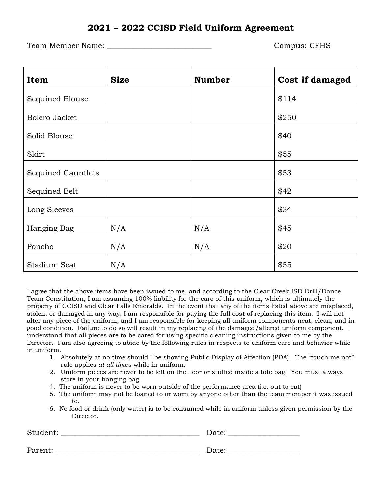## **2021 – 2022 CCISD Field Uniform Agreement**

Team Member Name: \_\_\_\_\_\_\_\_\_\_\_\_\_\_\_\_\_\_\_\_\_\_\_\_\_\_\_\_ Campus: CFHS

| Item               | <b>Size</b> | <b>Number</b> | Cost if damaged |
|--------------------|-------------|---------------|-----------------|
| Sequined Blouse    |             |               | \$114           |
| Bolero Jacket      |             |               | \$250           |
| Solid Blouse       |             |               | \$40            |
| Skirt              |             |               | \$55            |
| Sequined Gauntlets |             |               | \$53            |
| Sequined Belt      |             |               | \$42            |
| Long Sleeves       |             |               | \$34            |
| Hanging Bag        | N/A         | N/A           | \$45            |
| Poncho             | N/A         | N/A           | \$20            |
| Stadium Seat       | N/A         |               | \$55            |

I agree that the above items have been issued to me, and according to the Clear Creek ISD Drill/Dance Team Constitution, I am assuming 100% liability for the care of this uniform, which is ultimately the property of CCISD and Clear Falls Emeralds. In the event that any of the items listed above are misplaced, stolen, or damaged in any way, I am responsible for paying the full cost of replacing this item. I will not alter any piece of the uniform, and I am responsible for keeping all uniform components neat, clean, and in good condition. Failure to do so will result in my replacing of the damaged/altered uniform component. I understand that all pieces are to be cared for using specific cleaning instructions given to me by the Director. I am also agreeing to abide by the following rules in respects to uniform care and behavior while in uniform.

- 1. Absolutely at no time should I be showing Public Display of Affection (PDA). The "touch me not" rule applies *at all times* while in uniform.
- 2. Uniform pieces are never to be left on the floor or stuffed inside a tote bag. You must always store in your hanging bag.
- 4. The uniform is never to be worn outside of the performance area (i.e. out to eat)
- 5. The uniform may not be loaned to or worn by anyone other than the team member it was issued to.
- 6. No food or drink (only water) is to be consumed while in uniform unless given permission by the Director.

| Student: | Date: |
|----------|-------|
|          |       |
| Parent:  | Date: |